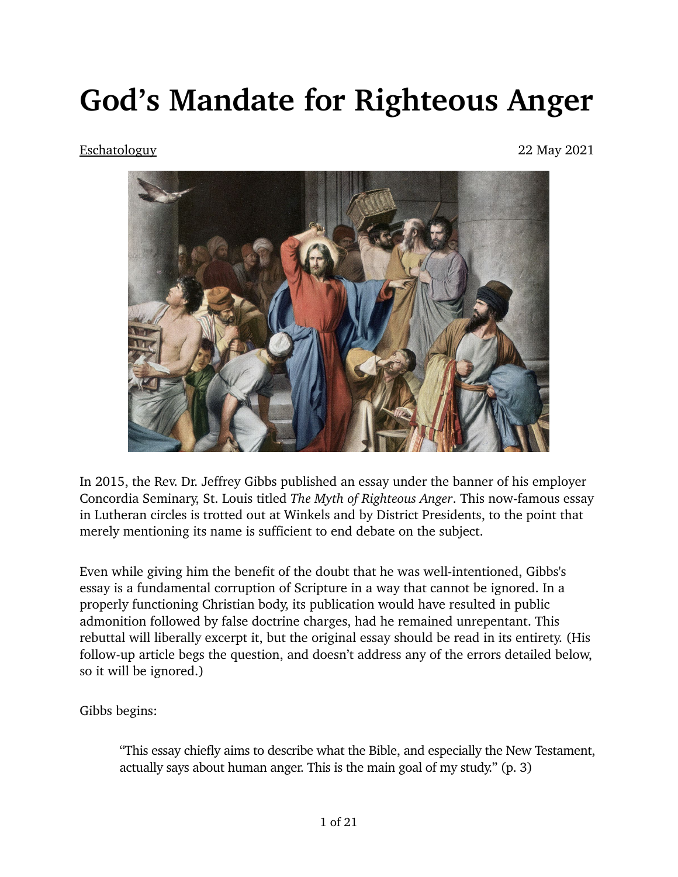## **God's Mandate for Righteous Anger**

## [Eschatologuy](https://cognosceveritatem.com/author/eschatologuy/) 22 May 2021



In 2015, the Rev. Dr. Jeffrey Gibbs published an essay under the banner of his employer Concordia Seminary, St. Louis titled *[The Myth of Righteous Anger](https://concordiatheology.org/2018/11/jeff-gibbs-the-myth-of-righteous-anger/)*. This now-famous essay in Lutheran circles is trotted out at Winkels and by District Presidents, to the point that merely mentioning its name is sufficient to end debate on the subject.

Even while giving him the benefit of the doubt that he was well-intentioned, Gibbs's essay is a fundamental corruption of Scripture in a way that cannot be ignored. In a properly functioning Christian body, its publication would have resulted in public admonition followed by false doctrine charges, had he remained unrepentant. This rebuttal will liberally excerpt it, but the original essay should be read in its entirety. (His follow-up article begs the question, and doesn't address any of the errors detailed below, so it will be ignored.)

Gibbs begins:

"This essay chiefly aims to describe what the Bible, and especially the New Testament, actually says about human anger. This is the main goal of my study." (p. 3)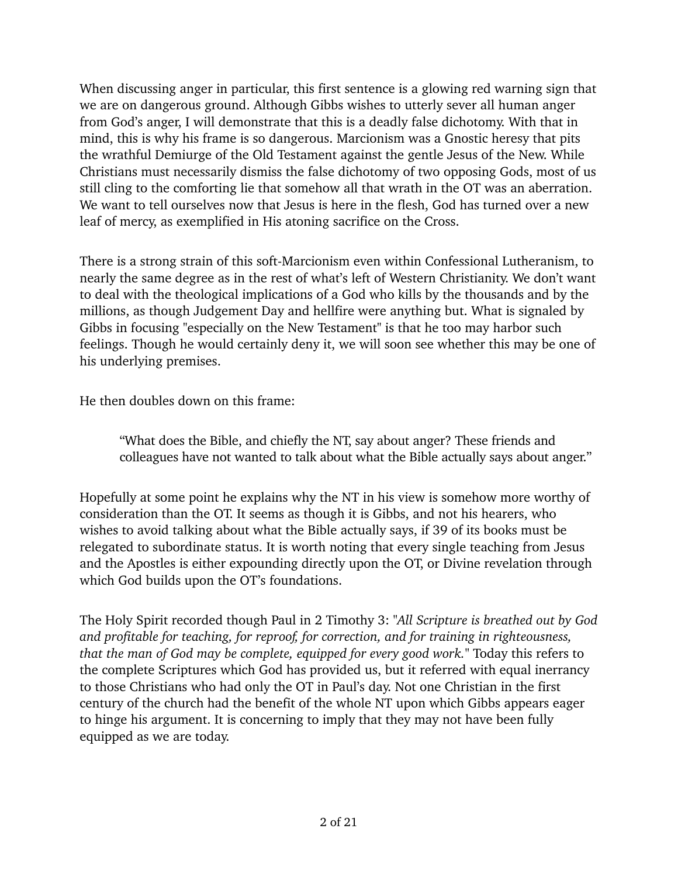When discussing anger in particular, this first sentence is a glowing red warning sign that we are on dangerous ground. Although Gibbs wishes to utterly sever all human anger from God's anger, I will demonstrate that this is a deadly false dichotomy. With that in mind, this is why his frame is so dangerous. [Marcionism](https://en.wikipedia.org/wiki/Marcionism) was a Gnostic heresy that pits the wrathful Demiurge of the Old Testament against the gentle Jesus of the New. While Christians must necessarily dismiss the false dichotomy of two opposing Gods, most of us still cling to the comforting lie that somehow all that wrath in the OT was an aberration. We want to tell ourselves now that Jesus is here in the flesh, God has turned over a new leaf of mercy, as exemplified in His atoning sacrifice on the Cross.

There is a strong strain of this soft-Marcionism even within Confessional Lutheranism, to nearly the same degree as in the rest of what's left of Western Christianity. We don't want to deal with the theological implications of a God who kills by the thousands and by the millions, as though Judgement Day and hellfire were anything but. What is signaled by Gibbs in focusing "especially on the New Testament" is that he too may harbor such feelings. Though he would certainly deny it, we will soon see whether this may be one of his underlying premises.

He then doubles down on this frame:

"What does the Bible, and chiefly the NT, say about anger? These friends and colleagues have not wanted to talk about what the Bible actually says about anger."

Hopefully at some point he explains why the NT in his view is somehow more worthy of consideration than the OT. It seems as though it is Gibbs, and not his hearers, who wishes to avoid talking about what the Bible actually says, if 39 of its books must be relegated to subordinate status. It is worth noting that every single teaching from Jesus and the Apostles is either expounding directly upon the OT, or Divine revelation through which God builds upon the OT's foundations.

The Holy Spirit recorded though Paul in 2 Timothy 3: *"All Scripture is breathed out by God and profitable for teaching, for reproof, for correction, and for training in righteousness, that the man of God may be complete, equipped for every good work."* Today this refers to the complete Scriptures which God has provided us, but it referred with equal inerrancy to those Christians who had only the OT in Paul's day. Not one Christian in the first century of the church had the benefit of the whole NT upon which Gibbs appears eager to hinge his argument. It is concerning to imply that they may not have been fully equipped as we are today.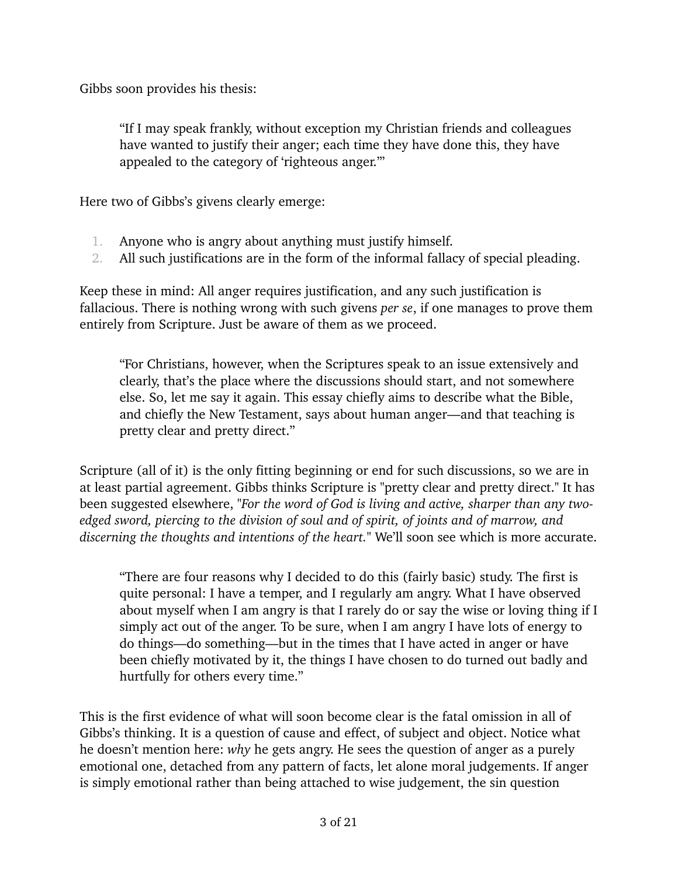Gibbs soon provides his thesis:

"If I may speak frankly, without exception my Christian friends and colleagues have wanted to justify their anger; each time they have done this, they have appealed to the category of 'righteous anger.'"

Here two of Gibbs's givens clearly emerge:

- 1. Anyone who is angry about anything must justify himself.
- 2. All such justifications are in the form of the [informal fallacy of special pleading.](https://fallacyinlogic.com/special-pleading-fallacy-definition-and-examples/)

Keep these in mind: All anger requires justification, and any such justification is fallacious. There is nothing wrong with such givens *per se*, if one manages to prove them entirely from Scripture. Just be aware of them as we proceed.

"For Christians, however, when the Scriptures speak to an issue extensively and clearly, that's the place where the discussions should start, and not somewhere else. So, let me say it again. This essay chiefly aims to describe what the Bible, and chiefly the New Testament, says about human anger—and that teaching is pretty clear and pretty direct."

Scripture (all of it) is the only fitting beginning or end for such discussions, so we are in at least partial agreement. Gibbs thinks Scripture is "pretty clear and pretty direct." It has been suggested elsewhere, *"For the word of God is living and active, sharper than any twoedged sword, piercing to the division of soul and of spirit, of joints and of marrow, and discerning the thoughts and intentions of the heart."* We'll soon see which is more accurate.

"There are four reasons why I decided to do this (fairly basic) study. The first is quite personal: I have a temper, and I regularly am angry. What I have observed about myself when I am angry is that I rarely do or say the wise or loving thing if I simply act out of the anger. To be sure, when I am angry I have lots of energy to do things—do something—but in the times that I have acted in anger or have been chiefly motivated by it, the things I have chosen to do turned out badly and hurtfully for others every time."

This is the first evidence of what will soon become clear is the fatal omission in all of Gibbs's thinking. It is a question of cause and effect, of subject and object. Notice what he doesn't mention here: *why* he gets angry. He sees the question of anger as a purely emotional one, detached from any pattern of facts, let alone moral judgements. If anger is simply emotional rather than being attached to wise judgement, the sin question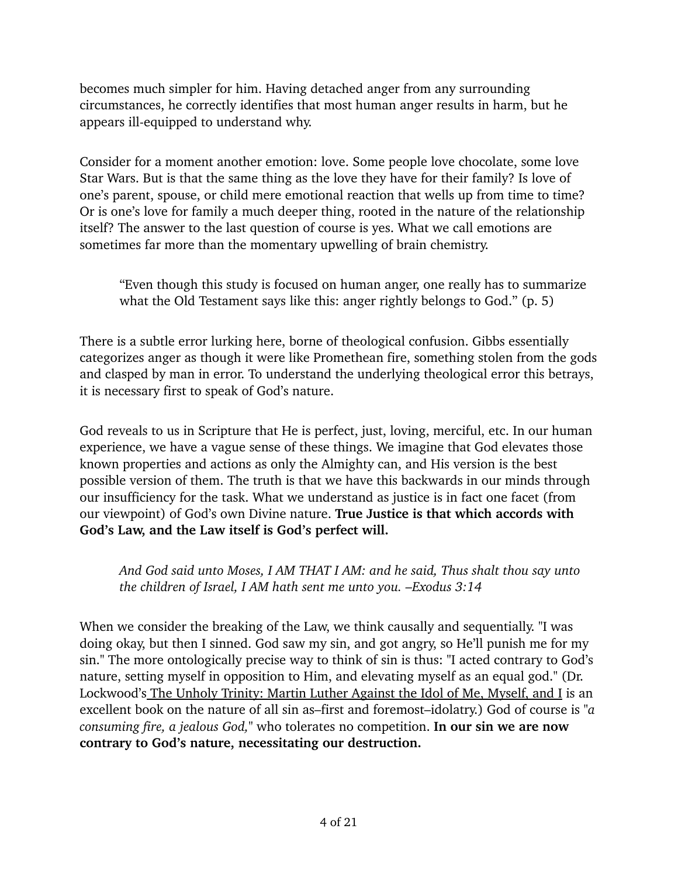becomes much simpler for him. Having detached anger from any surrounding circumstances, he correctly identifies that most human anger results in harm, but he appears ill-equipped to understand why.

Consider for a moment another emotion: love. Some people love chocolate, some love Star Wars. But is that the same thing as the love they have for their family? Is love of one's parent, spouse, or child mere emotional reaction that wells up from time to time? Or is one's love for family a much deeper thing, rooted in the nature of the relationship itself? The answer to the last question of course is yes. What we call emotions are sometimes far more than the momentary upwelling of brain chemistry.

"Even though this study is focused on human anger, one really has to summarize what the Old Testament says like this: anger rightly belongs to God." (p. 5)

There is a subtle error lurking here, borne of theological confusion. Gibbs essentially categorizes anger as though it were like Promethean fire, something stolen from the gods and clasped by man in error. To understand the underlying theological error this betrays, it is necessary first to speak of God's nature.

God reveals to us in Scripture that He is perfect, just, loving, merciful, etc. In our human experience, we have a vague sense of these things. We imagine that God elevates those known properties and actions as only the Almighty can, and His version is the best possible version of them. The truth is that we have this backwards in our minds through our insufficiency for the task. What we understand as justice is in fact one facet (from our viewpoint) of God's own Divine nature. **True Justice is that which accords with God's Law, and the Law itself is God's perfect will.**

*And God said unto Moses, I AM THAT I AM: and he said, Thus shalt thou say unto the children of Israel, I AM hath sent me unto you. –Exodus 3:14*

When we consider the breaking of the Law, we think causally and sequentially. "I was doing okay, but then I sinned. God saw my sin, and got angry, so He'll punish me for my sin." The more ontologically precise way to think of sin is thus: "I acted contrary to God's nature, setting myself in opposition to Him, and elevating myself as an equal god." (Dr. Lockwood's [The Unholy Trinity: Martin Luther Against the Idol of Me, Myself, and I](https://www.cph.org/p-30550-the-unholy-trinity-martin-luther-against-the-idol-of-me-myself-and-i.aspx) is an excellent book on the nature of all sin as–first and foremost–idolatry.) God of course is *["a](http://esv.to/deut4:24)  [consuming fire, a jealous God](http://esv.to/deut4:24),"* who tolerates no competition. **In our sin we are now contrary to God's nature, necessitating our destruction.**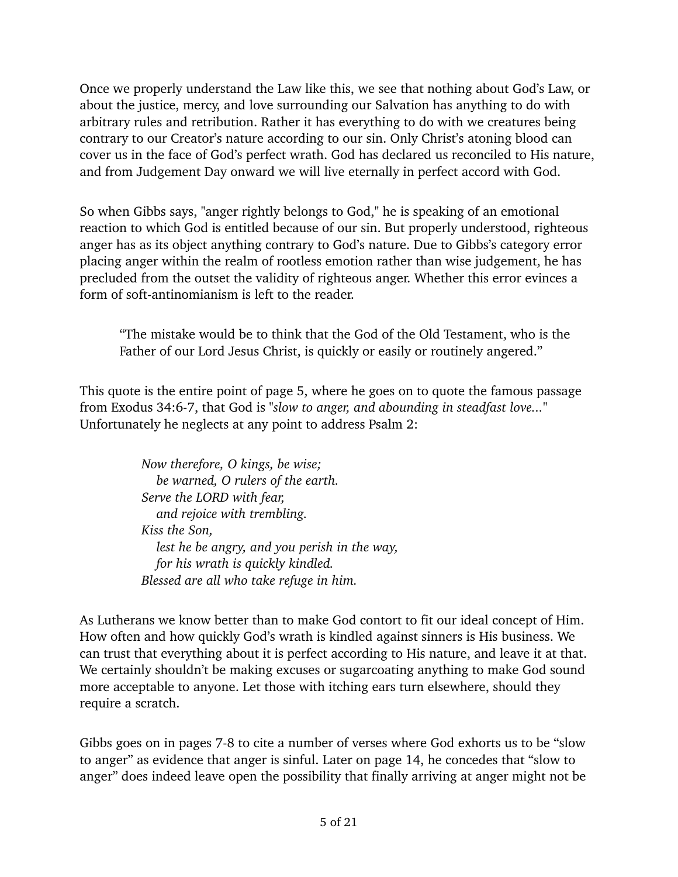Once we properly understand the Law like this, we see that nothing about God's Law, or about the justice, mercy, and love surrounding our Salvation has anything to do with arbitrary rules and retribution. Rather it has everything to do with we creatures being contrary to our Creator's nature according to our sin. Only Christ's atoning blood can cover us in the face of God's perfect wrath. God has declared us reconciled to His nature, and from Judgement Day onward we will live eternally in perfect accord with God.

So when Gibbs says, "anger rightly belongs to God," he is speaking of an emotional reaction to which God is entitled because of our sin. But properly understood, righteous anger has as its object anything contrary to God's nature. Due to Gibbs's [category error](https://plato.stanford.edu/entries/category-mistakes/)  placing anger within the realm of rootless emotion rather than wise judgement, he has precluded from the outset the validity of righteous anger. Whether this error evinces a form of soft-[antinomianism](https://lutheranreformation.org/history/the-antinomian-disputations/) is left to the reader.

"The mistake would be to think that the God of the Old Testament, who is the Father of our Lord Jesus Christ, is quickly or easily or routinely angered."

This quote is the entire point of page 5, where he goes on to quote the famous passage from Exodus 34:6-7, that God is *"slow to anger, and abounding in steadfast love..."*  Unfortunately he neglects at any point to address Psalm 2:

> *Now therefore, O kings, be wise; be warned, O rulers of the earth. Serve the LORD with fear, and rejoice with trembling. Kiss the Son, lest he be angry, and you perish in the way, for his wrath is quickly kindled. Blessed are all who take refuge in him.*

As Lutherans we know better than to make God contort to fit our ideal concept of Him. How often and how quickly God's wrath is kindled against sinners is His business. We can trust that everything about it is perfect according to His nature, and leave it at that. We certainly shouldn't be making excuses or sugarcoating anything to make God sound more acceptable to anyone. Let those with itching ears turn elsewhere, should they require a scratch.

Gibbs goes on in pages 7-8 to cite a number of verses where God exhorts us to be "slow to anger" as evidence that anger is sinful. Later on page 14, he concedes that "slow to anger" does indeed leave open the possibility that finally arriving at anger might not be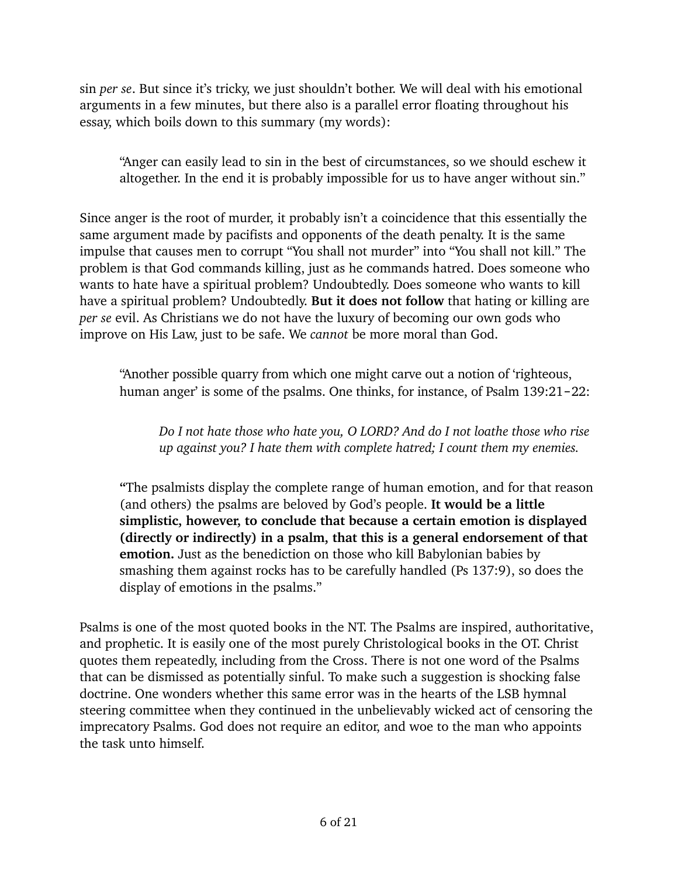sin *per se*. But since it's tricky, we just shouldn't bother. We will deal with his emotional arguments in a few minutes, but there also is a parallel error floating throughout his essay, which boils down to this summary (my words):

"Anger can easily lead to sin in the best of circumstances, so we should eschew it altogether. In the end it is probably impossible for us to have anger without sin."

Since anger is the root of murder, it probably isn't a coincidence that this essentially the same argument made by pacifists and opponents of the death penalty. It is the same impulse that causes men to corrupt "You shall not murder" into "You shall not kill." The problem is that God commands killing, just as he commands hatred. Does someone who wants to hate have a spiritual problem? Undoubtedly. Does someone who wants to kill have a spiritual problem? Undoubtedly. **But it does not follow** that hating or killing are *per se* evil. As Christians we do not have the luxury of becoming our own gods who improve on His Law, just to be safe. We *cannot* be more moral than God.

"Another possible quarry from which one might carve out a notion of 'righteous, human anger' is some of the psalms. One thinks, for instance, of Psalm 139:21-22:

*Do I not hate those who hate you, O LORD? And do I not loathe those who rise up against you? I hate them with complete hatred; I count them my enemies.* 

**"**The psalmists display the complete range of human emotion, and for that reason (and others) the psalms are beloved by God's people. **It would be a little simplistic, however, to conclude that because a certain emotion is displayed (directly or indirectly) in a psalm, that this is a general endorsement of that emotion.** Just as the benediction on those who kill Babylonian babies by smashing them against rocks has to be carefully handled (Ps 137:9), so does the display of emotions in the psalms."

Psalms is one of the most quoted books in the NT. The Psalms are inspired, authoritative, and prophetic. It is easily one of the most purely Christological books in the OT. Christ quotes them repeatedly, including from the Cross. There is not one word of the Psalms that can be dismissed as potentially sinful. To make such a suggestion is shocking false doctrine. One wonders whether this same error was in the hearts of the LSB hymnal steering committee when they continued in the unbelievably wicked act of censoring the imprecatory Psalms. God does not require an editor, and woe to the man who appoints the task unto himself.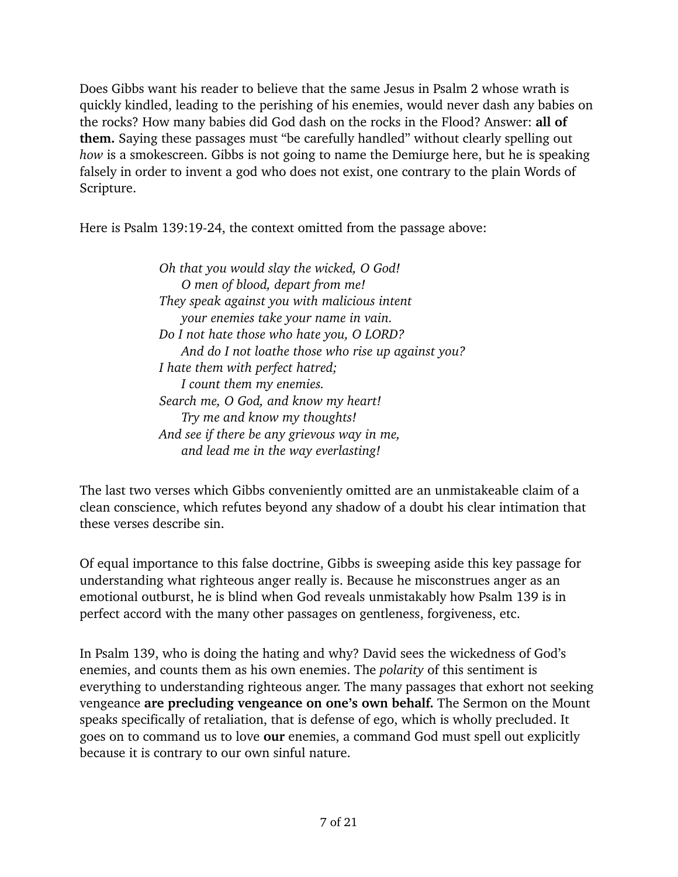Does Gibbs want his reader to believe that the same Jesus in Psalm 2 whose wrath is quickly kindled, leading to the perishing of his enemies, would never dash any babies on the rocks? How many babies did God dash on the rocks in the Flood? Answer: **all of them.** Saying these passages must "be carefully handled" without clearly spelling out *how* is a smokescreen. Gibbs is not going to name the Demiurge here, but he is speaking falsely in order to invent a god who does not exist, one contrary to the plain Words of Scripture.

Here is Psalm 139:19-24, the context omitted from the passage above:

*Oh that you would slay the wicked, O God! O men of blood, depart from me! They speak against you with malicious intent your enemies take your name in vain. Do I not hate those who hate you, O LORD? And do I not loathe those who rise up against you? I hate them with perfect hatred; I count them my enemies. Search me, O God, and know my heart! Try me and know my thoughts! And see if there be any grievous way in me, and lead me in the way everlasting!* 

The last two verses which Gibbs conveniently omitted are an unmistakeable claim of a clean conscience, which refutes beyond any shadow of a doubt his clear intimation that these verses describe sin.

Of equal importance to this false doctrine, Gibbs is sweeping aside this key passage for understanding what righteous anger really is. Because he misconstrues anger as an emotional outburst, he is blind when God reveals unmistakably how Psalm 139 is in perfect accord with the many other passages on gentleness, forgiveness, etc.

In Psalm 139, who is doing the hating and why? David sees the wickedness of God's enemies, and counts them as his own enemies. The *polarity* of this sentiment is everything to understanding righteous anger. The many passages that exhort not seeking vengeance **are precluding vengeance on one's own behalf.** The Sermon on the Mount speaks specifically of retaliation, that is defense of ego, which is wholly precluded. It goes on to command us to love **our** enemies, a command God must spell out explicitly because it is contrary to our own sinful nature.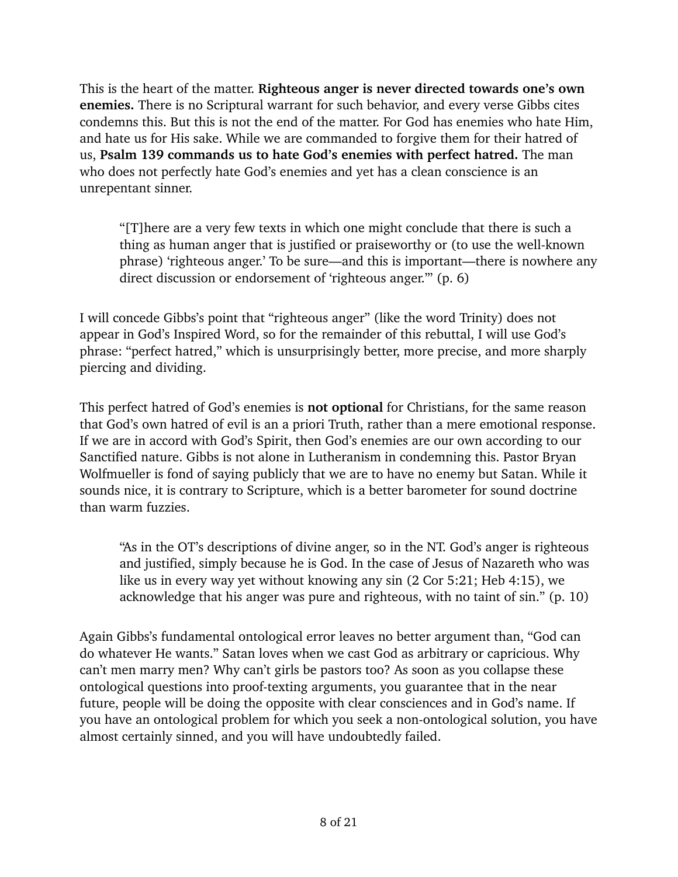This is the heart of the matter. **Righteous anger is never directed towards one's own enemies.** There is no Scriptural warrant for such behavior, and every verse Gibbs cites condemns this. But this is not the end of the matter. For God has enemies who hate Him, and hate us for His sake. While we are commanded to forgive them for their hatred of us, **Psalm 139 commands us to hate God's enemies with perfect hatred.** The man who does not perfectly hate God's enemies and yet has a clean conscience is an unrepentant sinner.

"[T]here are a very few texts in which one might conclude that there is such a thing as human anger that is justified or praiseworthy or (to use the well-known phrase) 'righteous anger.' To be sure—and this is important—there is nowhere any direct discussion or endorsement of 'righteous anger."" (p. 6)

I will concede Gibbs's point that "righteous anger" (like the word Trinity) does not appear in God's Inspired Word, so for the remainder of this rebuttal, I will use God's phrase: "perfect hatred," which is unsurprisingly better, more precise, and more sharply piercing and dividing.

This perfect hatred of God's enemies is **not optional** for Christians, for the same reason that God's own hatred of evil is an a priori Truth, rather than a mere emotional response. If we are in accord with God's Spirit, then God's enemies are our own according to our Sanctified nature. Gibbs is not alone in Lutheranism in condemning this. Pastor Bryan Wolfmueller is fond of saying publicly that we are to have no enemy but Satan. While it sounds nice, it is contrary to Scripture, which is a better barometer for sound doctrine than warm fuzzies.

"As in the OT's descriptions of divine anger, so in the NT. God's anger is righteous and justified, simply because he is God. In the case of Jesus of Nazareth who was like us in every way yet without knowing any sin (2 Cor 5:21; Heb 4:15), we acknowledge that his anger was pure and righteous, with no taint of sin." (p. 10)

Again Gibbs's fundamental ontological error leaves no better argument than, "God can do whatever He wants." Satan loves when we cast God as arbitrary or capricious. Why can't men marry men? Why can't girls be pastors too? As soon as you collapse these ontological questions into proof-texting arguments, you guarantee that in the near future, people will be doing the opposite with clear consciences and in God's name. If you have an ontological problem for which you seek a non-ontological solution, you have almost certainly sinned, and you will have undoubtedly failed.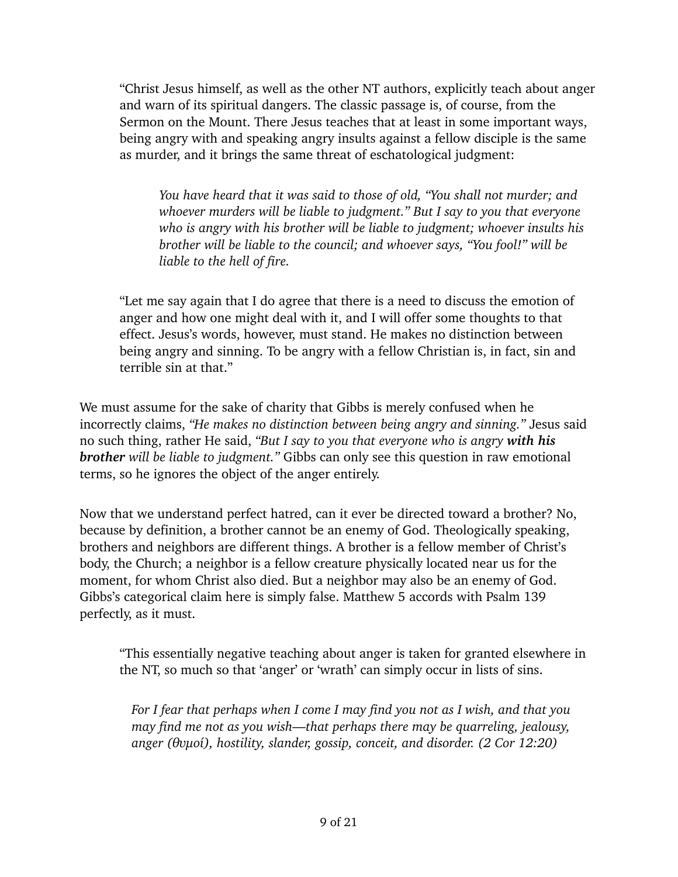"Christ Jesus himself, as well as the other NT authors, explicitly teach about anger and warn of its spiritual dangers. The classic passage is, of course, from the Sermon on the Mount. There Jesus teaches that at least in some important ways, being angry with and speaking angry insults against a fellow disciple is the same as murder, and it brings the same threat of eschatological judgment:

*You have heard that it was said to those of old, "You shall not murder; and whoever murders will be liable to judgment." But I say to you that everyone who is angry with his brother will be liable to judgment; whoever insults his brother will be liable to the council; and whoever says, "You fool!" will be liable to the hell of fire.* 

"Let me say again that I do agree that there is a need to discuss the emotion of anger and how one might deal with it, and I will offer some thoughts to that effect. Jesus's words, however, must stand. He makes no distinction between being angry and sinning. To be angry with a fellow Christian is, in fact, sin and terrible sin at that."

We must assume for the sake of charity that Gibbs is merely confused when he incorrectly claims, *"He makes no distinction between being angry and sinning."* Jesus said no such thing, rather He said, *"But I say to you that everyone who is angry with his brother will be liable to judgment."* Gibbs can only see this question in raw emotional terms, so he ignores the object of the anger entirely.

Now that we understand perfect hatred, can it ever be directed toward a brother? No, because by definition, a brother cannot be an enemy of God. Theologically speaking, brothers and neighbors are different things. A brother is a fellow member of Christ's body, the Church; a neighbor is a fellow creature physically located near us for the moment, for whom Christ also died. But a neighbor may also be an enemy of God. Gibbs's categorical claim here is simply false. Matthew 5 accords with Psalm 139 perfectly, as it must.

"This essentially negative teaching about anger is taken for granted elsewhere in the NT, so much so that 'anger' or 'wrath' can simply occur in lists of sins.

*• For I fear that perhaps when I come I may find you not as I wish, and that you may find me not as you wish—that perhaps there may be quarreling, jealousy, anger (θυμοί), hostility, slander, gossip, conceit, and disorder. (2 Cor 12:20)*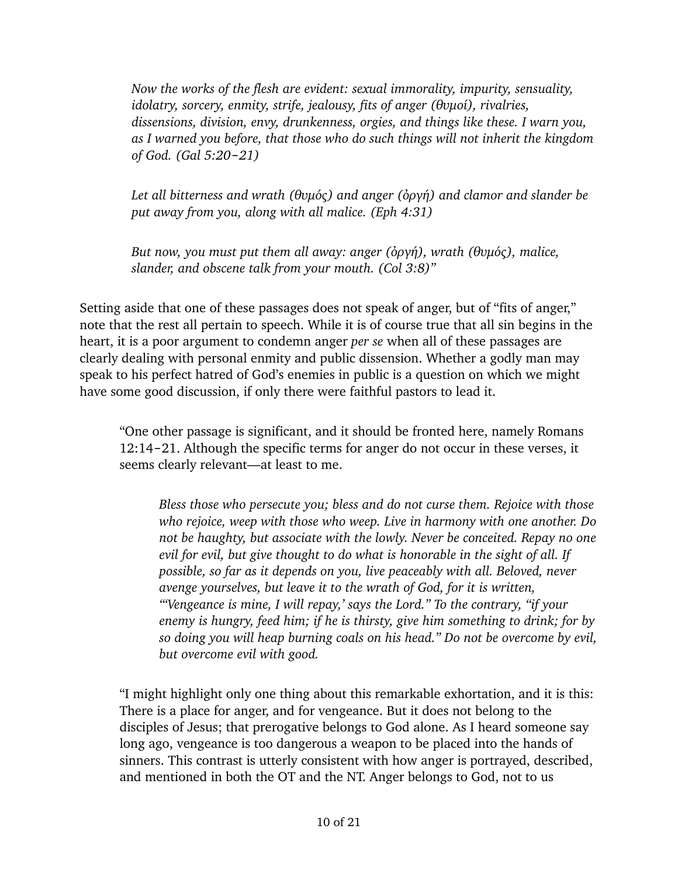*• Now the works of the flesh are evident: sexual immorality, impurity, sensuality, idolatry, sorcery, enmity, strife, jealousy, fits of anger (θυμοί), rivalries, dissensions, division, envy, drunkenness, orgies, and things like these. I warn you, as I warned you before, that those who do such things will not inherit the kingdom of God. (Gal 5:20*‒*21)*

*• Let all bitterness and wrath (θυμός) and anger (ὀργή) and clamor and slander be put away from you, along with all malice. (Eph 4:31)*

*• But now, you must put them all away: anger (ὀργή), wrath (θυμός), malice, slander, and obscene talk from your mouth. (Col 3:8)"*

Setting aside that one of these passages does not speak of anger, but of "fits of anger," note that the rest all pertain to speech. While it is of course true that all sin begins in the heart, it is a poor argument to condemn anger *per se* when all of these passages are clearly dealing with personal enmity and public dissension. Whether a godly man may speak to his perfect hatred of God's enemies in public is a question on which we might have some good discussion, if only there were faithful pastors to lead it.

"One other passage is significant, and it should be fronted here, namely Romans 12:14-21. Although the specific terms for anger do not occur in these verses, it seems clearly relevant—at least to me.

*Bless those who persecute you; bless and do not curse them. Rejoice with those who rejoice, weep with those who weep. Live in harmony with one another. Do not be haughty, but associate with the lowly. Never be conceited. Repay no one evil for evil, but give thought to do what is honorable in the sight of all. If possible, so far as it depends on you, live peaceably with all. Beloved, never avenge yourselves, but leave it to the wrath of God, for it is written, "'Vengeance is mine, I will repay,' says the Lord." To the contrary, "if your enemy is hungry, feed him; if he is thirsty, give him something to drink; for by so doing you will heap burning coals on his head." Do not be overcome by evil, but overcome evil with good.* 

"I might highlight only one thing about this remarkable exhortation, and it is this: There is a place for anger, and for vengeance. But it does not belong to the disciples of Jesus; that prerogative belongs to God alone. As I heard someone say long ago, vengeance is too dangerous a weapon to be placed into the hands of sinners. This contrast is utterly consistent with how anger is portrayed, described, and mentioned in both the OT and the NT. Anger belongs to God, not to us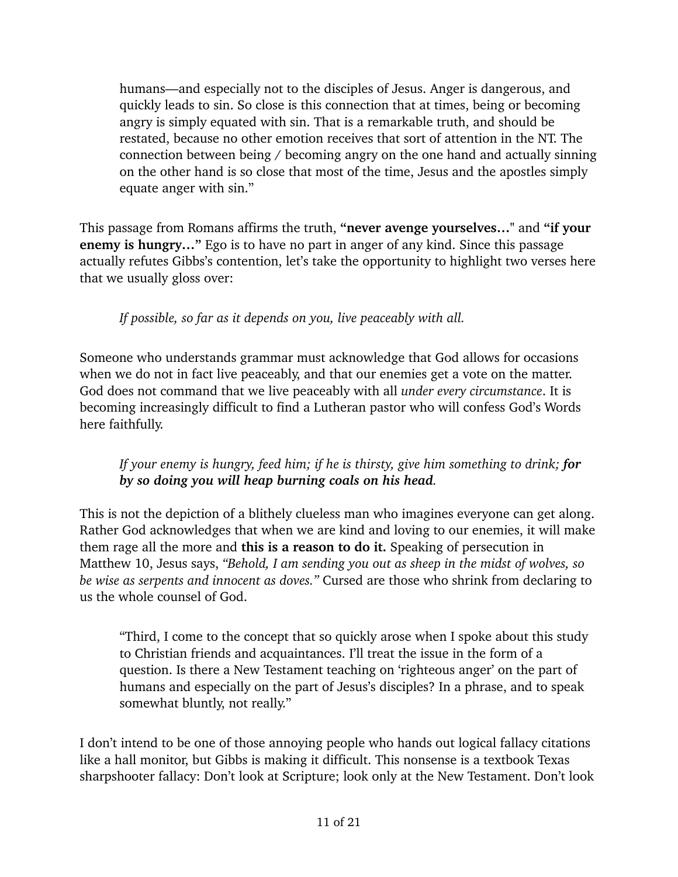humans—and especially not to the disciples of Jesus. Anger is dangerous, and quickly leads to sin. So close is this connection that at times, being or becoming angry is simply equated with sin. That is a remarkable truth, and should be restated, because no other emotion receives that sort of attention in the NT. The connection between being / becoming angry on the one hand and actually sinning on the other hand is so close that most of the time, Jesus and the apostles simply equate anger with sin."

This passage from Romans affirms the truth, **"never avenge yourselves…"** and **"if your enemy is hungry…"** Ego is to have no part in anger of any kind. Since this passage actually refutes Gibbs's contention, let's take the opportunity to highlight two verses here that we usually gloss over:

*If possible, so far as it depends on you, live peaceably with all.*

Someone who understands grammar must acknowledge that God allows for occasions when we do not in fact live peaceably, and that our enemies get a vote on the matter. God does not command that we live peaceably with all *under every circumstance*. It is becoming increasingly difficult to find a Lutheran pastor who will confess God's Words here faithfully.

## *If your enemy is hungry, feed him; if he is thirsty, give him something to drink; for by so doing you will heap burning coals on his head.*

This is not the depiction of a blithely clueless man who imagines everyone can get along. Rather God acknowledges that when we are kind and loving to our enemies, it will make them rage all the more and **this is a reason to do it.** Speaking of persecution in Matthew 10, Jesus says, *"Behold, I am sending you out as sheep in the midst of wolves, so be wise as serpents and innocent as doves."* Cursed are those who shrink from declaring to us the whole counsel of God.

"Third, I come to the concept that so quickly arose when I spoke about this study to Christian friends and acquaintances. I'll treat the issue in the form of a question. Is there a New Testament teaching on 'righteous anger' on the part of humans and especially on the part of Jesus's disciples? In a phrase, and to speak somewhat bluntly, not really."

I don't intend to be one of those annoying people who hands out logical fallacy citations like a hall monitor, but Gibbs is making it difficult. This nonsense is a textbook [Texas](https://fallacyinlogic.com/texas-sharpshooter-fallacy/)  [sharpshooter fallacy](https://fallacyinlogic.com/texas-sharpshooter-fallacy/): Don't look at Scripture; look only at the New Testament. Don't look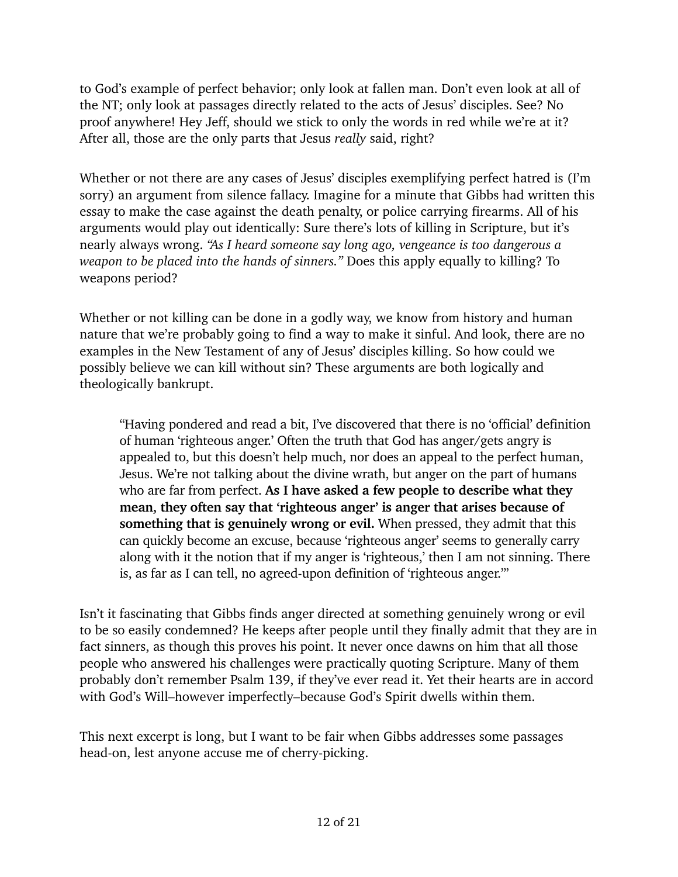to God's example of perfect behavior; only look at fallen man. Don't even look at all of the NT; only look at passages directly related to the acts of Jesus' disciples. See? No proof anywhere! Hey Jeff, should we stick to only the words in red while we're at it? After all, those are the only parts that Jesus *really* said, right?

Whether or not there are any cases of Jesus' disciples exemplifying perfect hatred is (I'm sorry) an [argument from silence fallacy.](https://simplicable.com/new/argument-from-silence) Imagine for a minute that Gibbs had written this essay to make the case against the death penalty, or police carrying firearms. All of his arguments would play out identically: Sure there's lots of killing in Scripture, but it's nearly always wrong. *"As I heard someone say long ago, vengeance is too dangerous a weapon to be placed into the hands of sinners."* Does this apply equally to killing? To weapons period?

Whether or not killing can be done in a godly way, we know from history and human nature that we're probably going to find a way to make it sinful. And look, there are no examples in the New Testament of any of Jesus' disciples killing. So how could we possibly believe we can kill without sin? These arguments are both logically and theologically bankrupt.

"Having pondered and read a bit, I've discovered that there is no 'official' definition of human 'righteous anger.' Often the truth that God has anger/gets angry is appealed to, but this doesn't help much, nor does an appeal to the perfect human, Jesus. We're not talking about the divine wrath, but anger on the part of humans who are far from perfect. **As I have asked a few people to describe what they mean, they often say that 'righteous anger' is anger that arises because of something that is genuinely wrong or evil.** When pressed, they admit that this can quickly become an excuse, because 'righteous anger' seems to generally carry along with it the notion that if my anger is 'righteous,' then I am not sinning. There is, as far as I can tell, no agreed-upon definition of 'righteous anger.'"

Isn't it fascinating that Gibbs finds anger directed at something genuinely wrong or evil to be so easily condemned? He keeps after people until they finally admit that they are in fact sinners, as though this proves his point. It never once dawns on him that all those people who answered his challenges were practically quoting Scripture. Many of them probably don't remember Psalm 139, if they've ever read it. Yet their hearts are in accord with God's Will–however imperfectly–because God's Spirit dwells within them.

This next excerpt is long, but I want to be fair when Gibbs addresses some passages head-on, lest anyone accuse me of cherry-picking.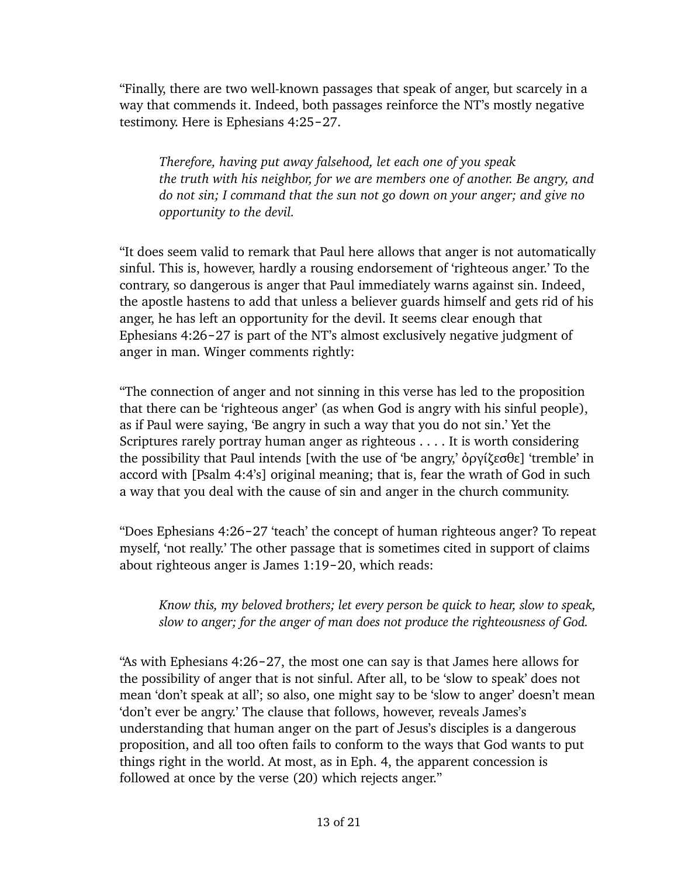"Finally, there are two well-known passages that speak of anger, but scarcely in a way that commends it. Indeed, both passages reinforce the NT's mostly negative testimony. Here is Ephesians 4:25-27.

*Therefore, having put away falsehood, let each one of you speak the truth with his neighbor, for we are members one of another. Be angry, and do not sin; I command that the sun not go down on your anger; and give no opportunity to the devil.* 

"It does seem valid to remark that Paul here allows that anger is not automatically sinful. This is, however, hardly a rousing endorsement of 'righteous anger.' To the contrary, so dangerous is anger that Paul immediately warns against sin. Indeed, the apostle hastens to add that unless a believer guards himself and gets rid of his anger, he has left an opportunity for the devil. It seems clear enough that Ephesians  $4:26-27$  is part of the NT's almost exclusively negative judgment of anger in man. Winger comments rightly:

"The connection of anger and not sinning in this verse has led to the proposition that there can be 'righteous anger' (as when God is angry with his sinful people), as if Paul were saying, 'Be angry in such a way that you do not sin.' Yet the Scriptures rarely portray human anger as righteous . . . . It is worth considering the possibility that Paul intends [with the use of 'be angry,' ὀργίζεσθε] 'tremble' in accord with [Psalm 4:4's] original meaning; that is, fear the wrath of God in such a way that you deal with the cause of sin and anger in the church community.

"Does Ephesians 4:26-27 'teach' the concept of human righteous anger? To repeat myself, 'not really.' The other passage that is sometimes cited in support of claims about righteous anger is James 1:19-20, which reads:

*Know this, my beloved brothers; let every person be quick to hear, slow to speak, slow to anger; for the anger of man does not produce the righteousness of God.* 

"As with Ephesians  $4:26-27$ , the most one can say is that James here allows for the possibility of anger that is not sinful. After all, to be 'slow to speak' does not mean 'don't speak at all'; so also, one might say to be 'slow to anger' doesn't mean 'don't ever be angry.' The clause that follows, however, reveals James's understanding that human anger on the part of Jesus's disciples is a dangerous proposition, and all too often fails to conform to the ways that God wants to put things right in the world. At most, as in Eph. 4, the apparent concession is followed at once by the verse (20) which rejects anger."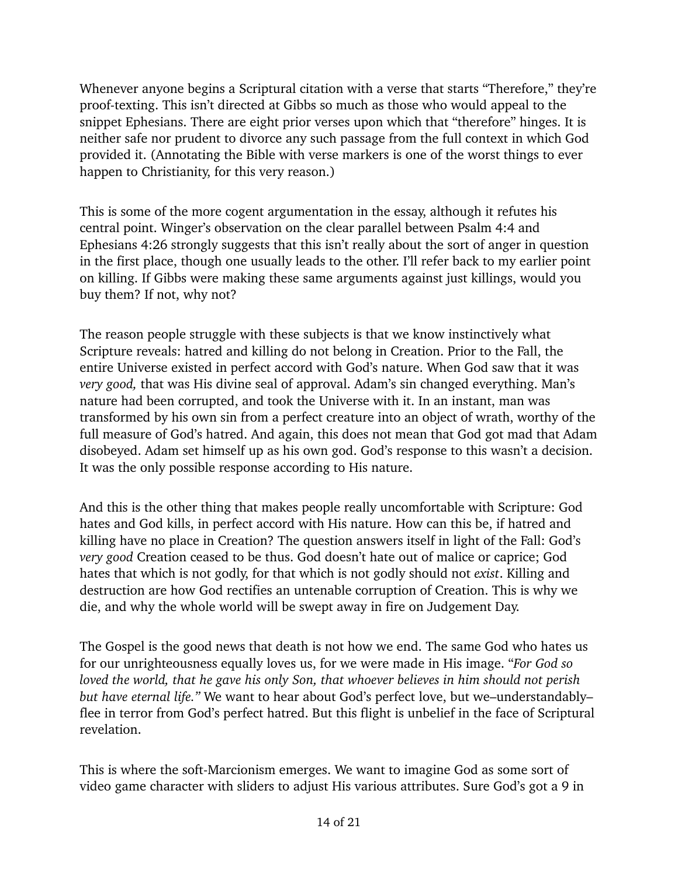Whenever anyone begins a Scriptural citation with a verse that starts "Therefore," they're proof-texting. This isn't directed at Gibbs so much as those who would appeal to the snippet Ephesians. There are eight prior verses upon which that "therefore" hinges. It is neither safe nor prudent to divorce any such passage from the full context in which God provided it. (Annotating the Bible with verse markers is one of the worst things to ever happen to Christianity, for this very reason.)

This is some of the more cogent argumentation in the essay, although it refutes his central point. Winger's observation on the clear parallel between Psalm 4:4 and Ephesians 4:26 strongly suggests that this isn't really about the sort of anger in question in the first place, though one usually leads to the other. I'll refer back to my earlier point on killing. If Gibbs were making these same arguments against just killings, would you buy them? If not, why not?

The reason people struggle with these subjects is that we know instinctively what Scripture reveals: hatred and killing do not belong in Creation. Prior to the Fall, the entire Universe existed in perfect accord with God's nature. When God saw that it was *very good,* that was His divine seal of approval. Adam's sin changed everything. Man's nature had been corrupted, and took the Universe with it. In an instant, man was transformed by his own sin from a perfect creature into an object of wrath, worthy of the full measure of God's hatred. And again, this does not mean that God got mad that Adam disobeyed. Adam set himself up as his own god. God's response to this wasn't a decision. It was the only possible response according to His nature.

And this is the other thing that makes people really uncomfortable with Scripture: God hates and God kills, in perfect accord with His nature. How can this be, if hatred and killing have no place in Creation? The question answers itself in light of the Fall: God's *very good* Creation ceased to be thus. God doesn't hate out of malice or caprice; God hates that which is not godly, for that which is not godly should not *exist*. Killing and destruction are how God rectifies an untenable corruption of Creation. This is why we die, and why the whole world will be swept away in fire on Judgement Day.

The Gospel is the good news that death is not how we end. The same God who hates us for our unrighteousness equally loves us, for we were made in His image. "*For God so loved the world, that he gave his only Son, that whoever believes in him should not perish but have eternal life."* We want to hear about God's perfect love, but we–understandably– flee in terror from God's perfect hatred. But this flight is unbelief in the face of Scriptural revelation.

This is where the soft-Marcionism emerges. We want to imagine God as some sort of video game character with sliders to adjust His various attributes. Sure God's got a 9 in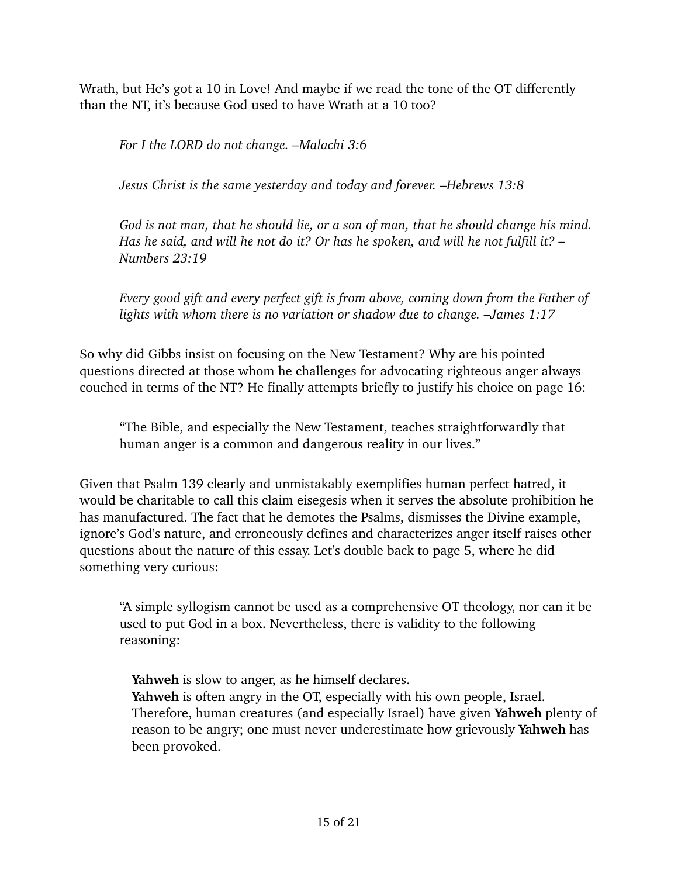Wrath, but He's got a 10 in Love! And maybe if we read the tone of the OT differently than the NT, it's because God used to have Wrath at a 10 too?

*For I the LORD do not change. –Malachi 3:6*

*Jesus Christ is the same yesterday and today and forever. –Hebrews 13:8*

*God is not man, that he should lie, or a son of man, that he should change his mind. Has he said, and will he not do it? Or has he spoken, and will he not fulfill it? – Numbers 23:19*

*Every good gift and every perfect gift is from above, coming down from the Father of lights with whom there is no variation or shadow due to change. –James 1:17*

So why did Gibbs insist on focusing on the New Testament? Why are his pointed questions directed at those whom he challenges for advocating righteous anger always couched in terms of the NT? He finally attempts briefly to justify his choice on page 16:

"The Bible, and especially the New Testament, teaches straightforwardly that human anger is a common and dangerous reality in our lives."

Given that Psalm 139 clearly and unmistakably exemplifies human perfect hatred, it would be charitable to call this claim eisegesis when it serves the absolute prohibition he has manufactured. The fact that he demotes the Psalms, dismisses the Divine example, ignore's God's nature, and erroneously defines and characterizes anger itself raises other questions about the nature of this essay. Let's double back to page 5, where he did something very curious:

"A simple syllogism cannot be used as a comprehensive OT theology, nor can it be used to put God in a box. Nevertheless, there is validity to the following reasoning:

Yahweh is slow to anger, as he himself declares.

**Yahweh** is often angry in the OT, especially with his own people, Israel. *3.* Therefore, human creatures (and especially Israel) have given **Yahweh** plenty of reason to be angry; one must never underestimate how grievously **Yahweh** has been provoked.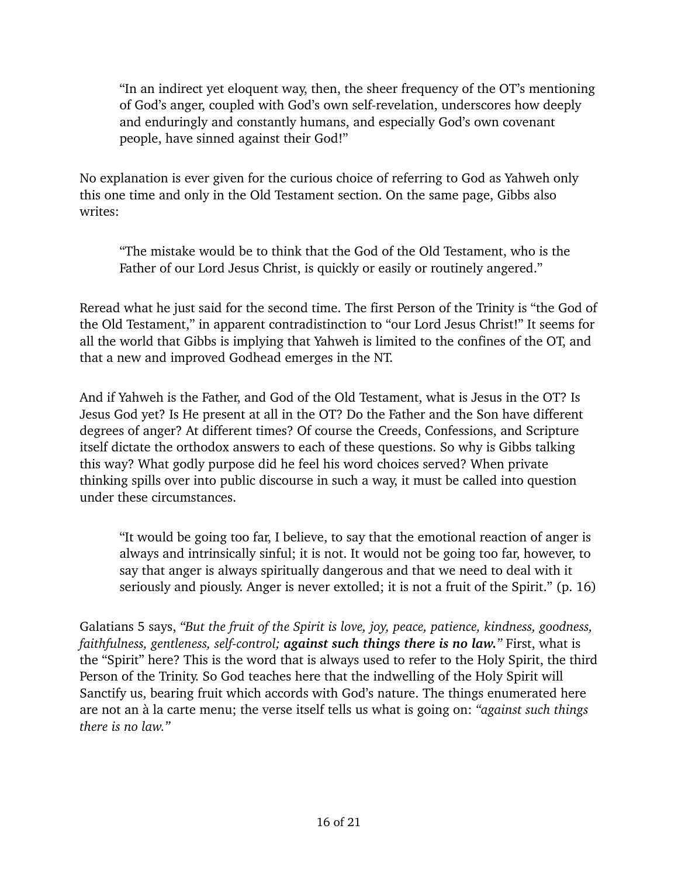"In an indirect yet eloquent way, then, the sheer frequency of the OT's mentioning of God's anger, coupled with God's own self-revelation, underscores how deeply and enduringly and constantly humans, and especially God's own covenant people, have sinned against their God!"

No explanation is ever given for the curious choice of referring to God as Yahweh only this one time and only in the Old Testament section. On the same page, Gibbs also writes:

"The mistake would be to think that the God of the Old Testament, who is the Father of our Lord Jesus Christ, is quickly or easily or routinely angered."

Reread what he just said for the second time. The first Person of the Trinity is "the God of the Old Testament," in apparent contradistinction to "our Lord Jesus Christ!" It seems for all the world that Gibbs is implying that Yahweh is limited to the confines of the OT, and that a new and improved Godhead emerges in the NT.

And if Yahweh is the Father, and God of the Old Testament, what is Jesus in the OT? Is Jesus God yet? Is He present at all in the OT? Do the Father and the Son have different degrees of anger? At different times? Of course the Creeds, Confessions, and Scripture itself dictate the orthodox answers to each of these questions. So why is Gibbs talking this way? What godly purpose did he feel his word choices served? When private thinking spills over into public discourse in such a way, it must be called into question under these circumstances.

"It would be going too far, I believe, to say that the emotional reaction of anger is always and intrinsically sinful; it is not. It would not be going too far, however, to say that anger is always spiritually dangerous and that we need to deal with it seriously and piously. Anger is never extolled; it is not a fruit of the Spirit." (p. 16)

Galatians 5 says, *"But the fruit of the Spirit is love, joy, peace, patience, kindness, goodness, faithfulness, gentleness, self-control; against such things there is no law."* First, what is the "Spirit" here? This is the [word that is always used](https://biblehub.com/greek/pneumatos_4151.htm) to refer to the Holy Spirit, the third Person of the Trinity. So God teaches here that the indwelling of the Holy Spirit will Sanctify us, bearing fruit which accords with God's nature. The things enumerated here are not an à la carte menu; the verse itself tells us what is going on: *"against such things there is no law."*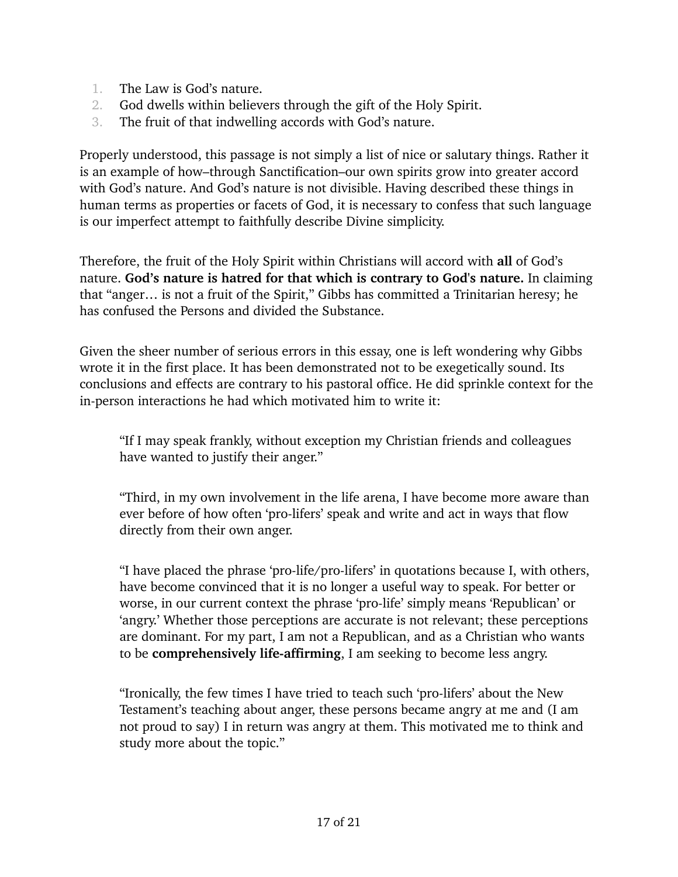- 1. The Law is God's nature.
- 2. God dwells within believers through the gift of the Holy Spirit.
- 3. The fruit of that indwelling accords with God's nature.

Properly understood, this passage is not simply a list of nice or salutary things. Rather it is an example of how–through Sanctification–our own spirits grow into greater accord with God's nature. And God's nature is not divisible. Having described these things in human terms as properties or facets of God, it is necessary to confess that such language is our imperfect attempt to faithfully describe [Divine simplicity.](https://iep.utm.edu/div-immu/) 

Therefore, the fruit of the Holy Spirit within Christians will accord with **all** of God's nature. **God's nature is hatred for that which is contrary to God's nature.** In claiming that "anger… is not a fruit of the Spirit," Gibbs has committed a Trinitarian heresy; he has [confused the Persons and divided the Substance.](https://bookofconcord.org/three-universal-or-ecumenical-creeds/athanasian-creed/)

Given the sheer number of serious errors in this essay, one is left wondering why Gibbs wrote it in the first place. It has been demonstrated not to be exegetically sound. Its conclusions and effects are contrary to his pastoral office. He did sprinkle context for the in-person interactions he had which motivated him to write it:

"If I may speak frankly, without exception my Christian friends and colleagues have wanted to justify their anger."

"Third, in my own involvement in the life arena, I have become more aware than ever before of how often 'pro-lifers' speak and write and act in ways that flow directly from their own anger.

"I have placed the phrase 'pro-life/pro-lifers' in quotations because I, with others, have become convinced that it is no longer a useful way to speak. For better or worse, in our current context the phrase 'pro-life' simply means 'Republican' or 'angry.' Whether those perceptions are accurate is not relevant; these perceptions are dominant. For my part, I am not a Republican, and as a Christian who wants to be **comprehensively life-affirming**, I am seeking to become less angry.

"Ironically, the few times I have tried to teach such 'pro-lifers' about the New Testament's teaching about anger, these persons became angry at me and (I am not proud to say) I in return was angry at them. This motivated me to think and study more about the topic."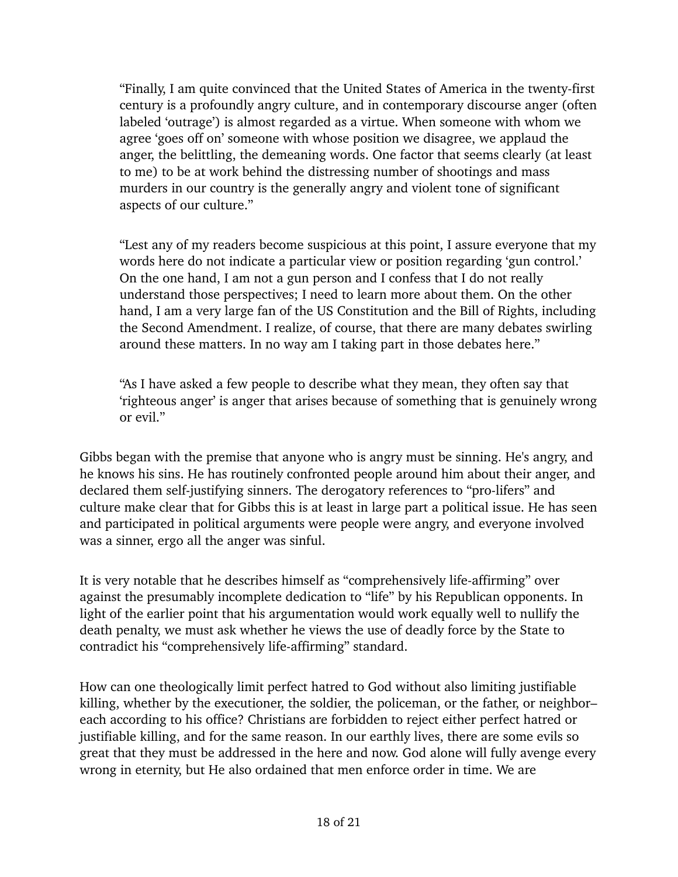"Finally, I am quite convinced that the United States of America in the twenty-first century is a profoundly angry culture, and in contemporary discourse anger (often labeled 'outrage') is almost regarded as a virtue. When someone with whom we agree 'goes off on' someone with whose position we disagree, we applaud the anger, the belittling, the demeaning words. One factor that seems clearly (at least to me) to be at work behind the distressing number of shootings and mass murders in our country is the generally angry and violent tone of significant aspects of our culture."

"Lest any of my readers become suspicious at this point, I assure everyone that my words here do not indicate a particular view or position regarding 'gun control.' On the one hand, I am not a gun person and I confess that I do not really understand those perspectives; I need to learn more about them. On the other hand, I am a very large fan of the US Constitution and the Bill of Rights, including the Second Amendment. I realize, of course, that there are many debates swirling around these matters. In no way am I taking part in those debates here."

"As I have asked a few people to describe what they mean, they often say that 'righteous anger' is anger that arises because of something that is genuinely wrong or evil."

Gibbs began with the premise that anyone who is angry must be sinning. He's angry, and he knows his sins. He has routinely confronted people around him about their anger, and declared them self-justifying sinners. The derogatory references to "pro-lifers" and culture make clear that for Gibbs this is at least in large part a political issue. He has seen and participated in political arguments were people were angry, and everyone involved was a sinner, ergo all the anger was sinful.

It is very notable that he describes himself as "comprehensively life-affirming" over against the presumably incomplete dedication to "life" by his Republican opponents. In light of the earlier point that his argumentation would work equally well to nullify the death penalty, we must ask whether he views the use of deadly force by the State to contradict his "comprehensively life-affirming" standard.

How can one theologically limit perfect hatred to God without also limiting justifiable killing, whether by the executioner, the soldier, the policeman, or the father, or neighbor– each according to his office? Christians are forbidden to reject either perfect hatred or justifiable killing, and for the same reason. In our earthly lives, there are some evils so great that they must be addressed in the here and now. God alone will fully avenge every wrong in eternity, but He also ordained that men enforce order in time. We are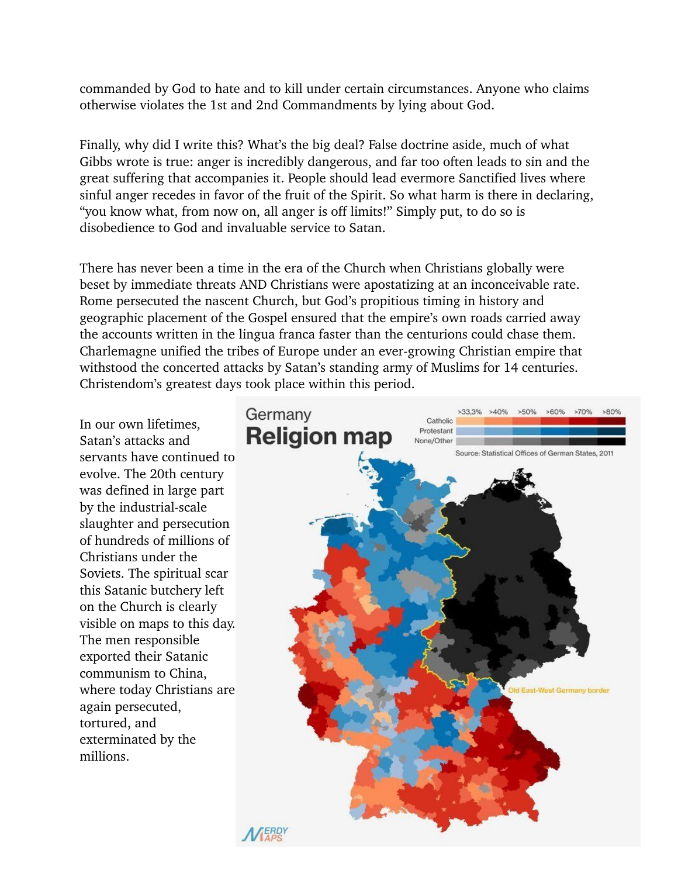commanded by God to hate and to kill under certain circumstances. Anyone who claims otherwise violates the 1st and 2nd Commandments by lying about God.

Finally, why did I write this? What's the big deal? False doctrine aside, much of what Gibbs wrote is true: anger is incredibly dangerous, and far too often leads to sin and the great suffering that accompanies it. People should lead evermore Sanctified lives where sinful anger recedes in favor of the fruit of the Spirit. So what harm is there in declaring, "you know what, from now on, all anger is off limits!" Simply put, to do so is disobedience to God and invaluable service to Satan.

There has never been a time in the era of the Church when Christians globally were beset by immediate threats AND Christians were apostatizing at an inconceivable rate. Rome persecuted the nascent Church, but God's propitious timing in history and geographic placement of the Gospel ensured that the empire's own roads carried away the accounts written in the lingua franca faster than the centurions could chase them. Charlemagne unified the tribes of Europe under an ever-growing Christian empire that withstood the concerted attacks by Satan's standing army of Muslims for 14 centuries. Christendom's greatest days took place within this period.

In our own lifetimes, Satan's attacks and servants have continued to evolve. The 20th century was defined in large part by the industrial-scale slaughter and persecution of hundreds of millions of Christians under the Soviets. The spiritual scar this Satanic butchery left on the Church is clearly visible on maps to this day. The men responsible exported their Satanic communism to China, where today Christians are again persecuted, tortured, and exterminated by the millions.

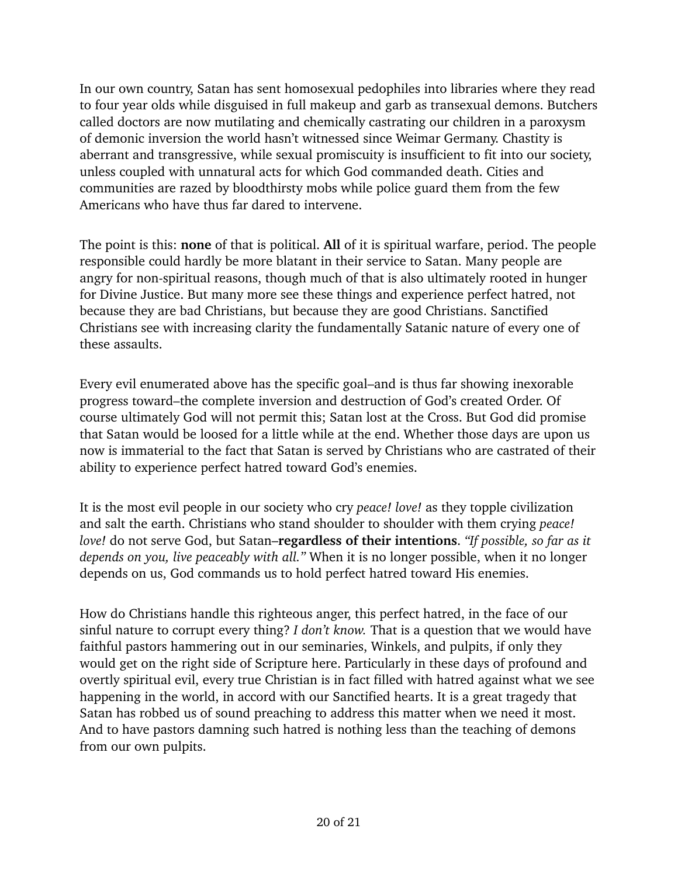In our own country, Satan has sent homosexual pedophiles into libraries where they read to four year olds while disguised in full makeup and garb as transexual demons. Butchers called doctors are now mutilating and chemically castrating our children in a paroxysm of demonic inversion the world hasn't witnessed since Weimar Germany. Chastity is aberrant and transgressive, while sexual promiscuity is insufficient to fit into our society, unless coupled with unnatural acts for which God commanded death. Cities and communities are razed by bloodthirsty mobs while police guard them from the few Americans who have thus far dared to intervene.

The point is this: **none** of that is political. **All** of it is spiritual warfare, period. The people responsible could hardly be more blatant in their service to Satan. Many people are angry for non-spiritual reasons, though much of that is also ultimately rooted in hunger for Divine Justice. But many more see these things and experience perfect hatred, not because they are bad Christians, but because they are good Christians. Sanctified Christians see with increasing clarity the fundamentally Satanic nature of every one of these assaults.

Every evil enumerated above has the specific goal–and is thus far showing inexorable progress toward–the complete inversion and destruction of God's created Order. Of course ultimately God will not permit this; Satan lost at the Cross. But God did promise that Satan would be loosed for a little while at the end. Whether those days are upon us now is immaterial to the fact that Satan is served by Christians who are castrated of their ability to experience perfect hatred toward God's enemies.

It is the most evil people in our society who cry *peace! love!* as they topple civilization and salt the earth. Christians who stand shoulder to shoulder with them crying *peace! love!* do not serve God, but Satan–**regardless of their intentions**. *"If possible, so far as it depends on you, live peaceably with all."* When it is no longer possible, when it no longer depends on us, God commands us to hold perfect hatred toward His enemies.

How do Christians handle this righteous anger, this perfect hatred, in the face of our sinful nature to corrupt every thing? *I don't know.* That is a question that we would have faithful pastors hammering out in our seminaries, Winkels, and pulpits, if only they would get on the right side of Scripture here. Particularly in these days of profound and overtly spiritual evil, every true Christian is in fact filled with hatred against what we see happening in the world, in accord with our Sanctified hearts. It is a great tragedy that Satan has robbed us of sound preaching to address this matter when we need it most. And to have pastors damning such hatred is nothing less than the teaching of demons from our own pulpits.